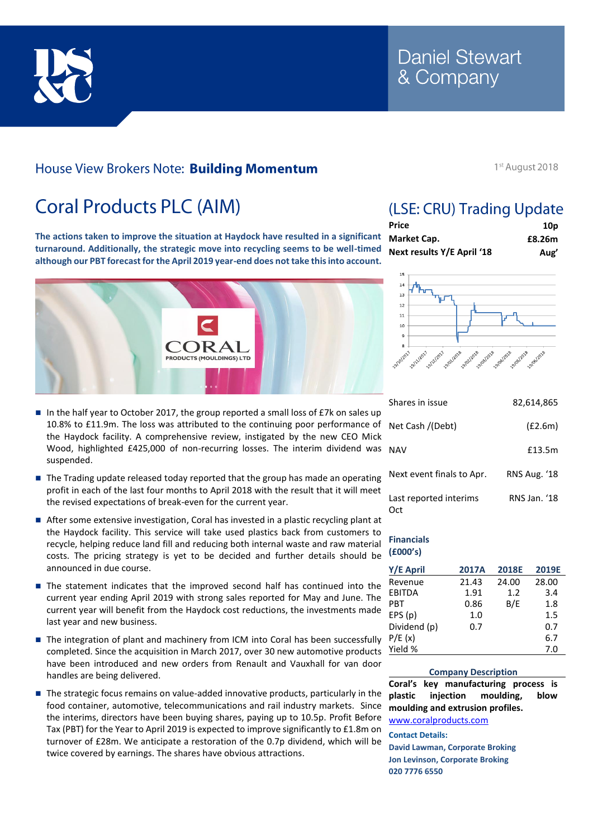

### House View Brokers Note: Building Momentum

1<sup>st</sup> August 2018

# **Coral Products PLC (AIM)**

**The actions taken to improve the situation at Haydock have resulted in a significant turnaround. Additionally, the strategic move into recycling seems to be well-timed although our PBT forecast for the April 2019 year-end does not take this into account.**



- In the half year to October 2017, the group reported a small loss of £7k on sales up 10.8% to £11.9m. The loss was attributed to the continuing poor performance of the Haydock facility. A comprehensive review, instigated by the new CEO Mick Wood, highlighted £425,000 of non-recurring losses. The interim dividend was suspended.
- The Trading update released today reported that the group has made an operating profit in each of the last four months to April 2018 with the result that it will meet the revised expectations of break-even for the current year.
- After some extensive investigation, Coral has invested in a plastic recycling plant at the Haydock facility. This service will take used plastics back from customers to recycle, helping reduce land fill and reducing both internal waste and raw material costs. The pricing strategy is yet to be decided and further details should be announced in due course.
- The statement indicates that the improved second half has continued into the current year ending April 2019 with strong sales reported for May and June. The current year will benefit from the Haydock cost reductions, the investments made last year and new business.
- The integration of plant and machinery from ICM into Coral has been successfully completed. Since the acquisition in March 2017, over 30 new automotive products have been introduced and new orders from Renault and Vauxhall for van door handles are being delivered.
- The strategic focus remains on value-added innovative products, particularly in the food container, automotive, telecommunications and rail industry markets. Since the interims, directors have been buying shares, paying up to 10.5p. Profit Before Tax (PBT) for the Year to April 2019 is expected to improve significantly to £1.8m on turnover of £28m. We anticipate a restoration of the 0.7p dividend, which will be twice covered by earnings. The shares have obvious attractions.

## (LSE: CRU) Trading Update

| Price                      | 10 <sub>p</sub> |
|----------------------------|-----------------|
| Market Cap.                | £8.26m          |
| Next results Y/E April '18 | Aug'            |



| Shares in issue               | 82,614,865   |
|-------------------------------|--------------|
| Net Cash /(Debt)              | (E2.6m)      |
| <b>NAV</b>                    | £13.5m       |
| Next event finals to Apr.     | RNS Aug. '18 |
| Last reported interims<br>ነrተ | RNS Jan. '18 |

#### **Financials (£000's)**

| Y/E April     | <b>2017A</b> | <b>2018E</b> | 2019E |
|---------------|--------------|--------------|-------|
| Revenue       | 21.43        | 24.00        | 28.00 |
| <b>EBITDA</b> | 1.91         | 1.2          | 3.4   |
| <b>PBT</b>    | 0.86         | B/E          | 1.8   |
| EPS(p)        | 1.0          |              | 1.5   |
| Dividend (p)  | 0.7          |              | 0.7   |
| P/E(x)        |              |              | 6.7   |
| Yield %       |              |              | 7.0   |

#### **Company Description**

**Coral's key manufacturing process is plastic injection moulding, blow moulding and extrusion profiles.** [www.coralproducts.com](http://www.coralproducts.com/)

#### **Contact Details:**

**David Lawman, Corporate Broking Jon Levinson, Corporate Broking 020 7776 6550**